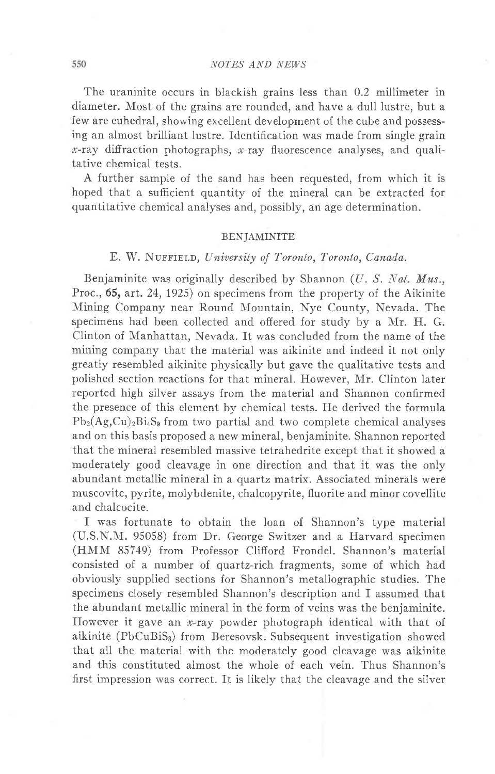The uraninite occurs in blackish grains less than 0.2 millimeter in diameter. Most of the grains are rounded, and have a dull lustre, but a few are euhedral, showing excellent development of the cube and possessing an almost brilliant lustre. Identification was made from single grain  $x$ -ray diffraction photographs,  $x$ -ray fluorescence analyses, and qualitative chemical tests.

A further sample of the sand has been requested, from which it is hoped that a sufficient quantity of the mineral can be extracted for quantitative chemical analyses and, possibly, an age determination.

### BENJAMINITE

# E. W. NUFFIELD, University of Toronto, Toronto, Canada.

Benjaminite was originally described by Shannon  $(U, S, Nat, Mus.,$ Proc., 65, art. 24, 1925) on specimens from the property of the Aikinite Mining Company near Round Mountain, Nye County, Nevada. The specimens had been collected and offered for study by a Mr. H. G. Clinton of Manhattan, Nevada. It was concluded from the name of the mining company that the material was aikinite and indeed it not only greatly resembled aikinite physically but gave the qualitative tests and polished section reactions for that mineral. However, IIr. Clinton later reported high silver assays from the material and Shannon confirmed the presence of this eiement by chemical tests. He derived the formula  $Pb_2(Ag,Cu)$ <sub>2</sub> $Bi_4S_9$  from two partial and two complete chemical analyses and on this basis proposed a new mineral, benjaminite. Shannon reported that the mineral resembled massive tetrahedrite except that it showed a moderately good cleavage in one direction and that it was the only abundant metallic mineral in a quartz matrix. Associated minerals were muscovite, pyrite, molybdenite, chalcopyrite, fluorite and minor covellite and chalcocite.

I was fortunate to obtain the loan of Shannon's type material (U:S.N.NI. 95058) from Dr. George Switzer and a Harvard specimen (HMM 85749) from Professor Clifford Frondel. Shannon's material consisted of a number of quartz-rich fragments, some of which had obviously supplied sections for Shannon's metallographic studies. The specimens closely resembled Shannon's description and I assumed that the abundant metallic mineral in the form of veins was the benjaminite. However it gave an  $x$ -ray powder photograph identical with that of aikinite (PbCuBiS<sub>3</sub>) from Beresovsk. Subsequent investigation showed that all the material with the moderately good cleavage was aikinite and this constituted almost the whole of each vein. Thus Shannon's first impression was correct. It is likely that the cleavage and the silver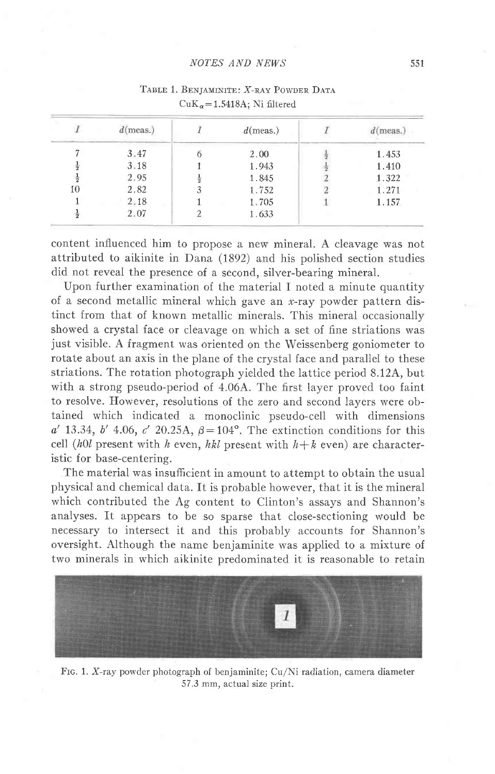#### NOTES AND NEWS

|    | $d$ (meas.) | $d$ (meas.) | $d$ (meas.) |
|----|-------------|-------------|-------------|
|    | 3.47        | 2.00        | 1.453       |
|    | 3.18        | 1.943       | 1.410       |
|    | 2.95        | 1.845       | 1.322       |
| 10 | 2.82        | 1.752       | 1.271       |
|    | 2,18        | 1,705       | 1.157       |
|    | 2.07        | 1.633       |             |

## TABLE 1. BENJAMINITE: X-RAY POWDER DATA  $CuK_{\alpha} = 1.5418A$ ; Ni filtered

content influenced him to propose a new mineral. A cleavage was not attributed to aikinite in Dana (1892) and his polished section studies did not reveal the presence of a second, silver-bearing mineral.

Upon further examination of the material I noted a minute quantity of a second metallic mineral which gave an  $x$ -ray powder pattern distinct from that of known metallic minerals. This mineral occasionally showed a crystal face or cleavage on which a set of fine striations was just visible. A fragment was oriented on the Weissenberg goniometer to rotate about an axis in the plane of the crystal face and parallel to these striations. The rotation photograph yielded the lattice period 8.124, but with a strong pseudo-period of 4.06A. The first layer proved too faint to resolve. However, resolutions of the zero and second layers were obtained which indicated a monoclinic pseudo-cell with dimensions a' 13.34, b' 4.06, c' 20.25A,  $\beta = 104^\circ$ . The extinction conditions for this cell (h0l present with h even, hkl present with  $h+k$  even) are characteristic for base-centering.

The material was insufficient in amount to attempt to obtain the usual physical and chemical data. It is probable however, that it is the mineral which contributed the Ag content to Clinton's assays and Shannon's analyses. It appears to be so sparse that close-sectioning would be necessary to intersect it and this probably accounts for Shannon's oversight. Although the name benjaminite was applied to a mixture of two minerals in which aikinite predominated it is reasonable to retain



FIG. 1. X-ray powder photograph of benjaminite; Cu/Ni radiation, camera diameter 57.3 mm, actual size print.